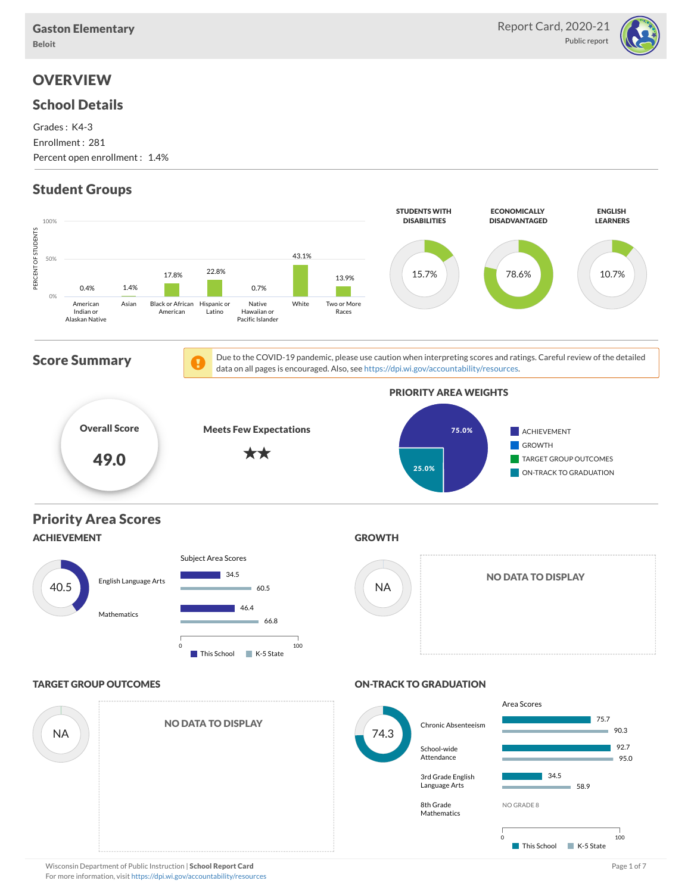

## **OVERVIEW**

#### School Details

Grades : K4-3 Enrollment : 281 Percent open enrollment : 1.4%

## Student Groups

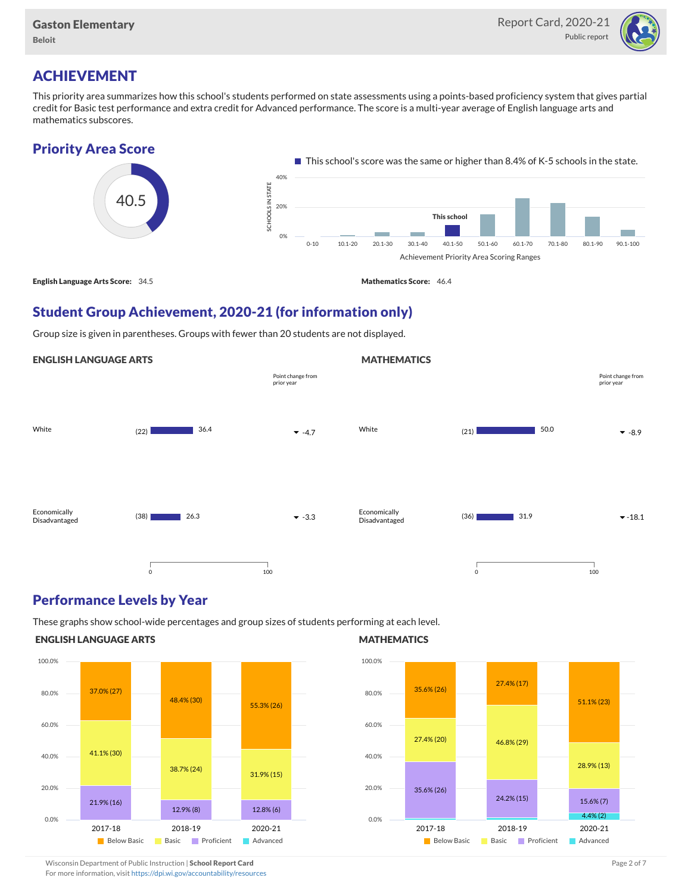

# ACHIEVEMENT

This priority area summarizes how this school's students performed on state assessments using a points-based proficiency system that gives partial credit for Basic test performance and extra credit for Advanced performance. The score is a multi-year average of English language arts and mathematics subscores.





## Student Group Achievement, 2020-21 (for information only)

Group size is given in parentheses. Groups with fewer than 20 students are not displayed.





### Performance Levels by Year

These graphs show school-wide percentages and group sizes of students performing at each level.

#### ENGLISH LANGUAGE ARTS



#### **MATHEMATICS**

**MATHEMATICS** 



Wisconsin Department of Public Instruction | School Report Card Page 2 of 7 and 2008 and 2009 and 2 of 7 and 2 of 7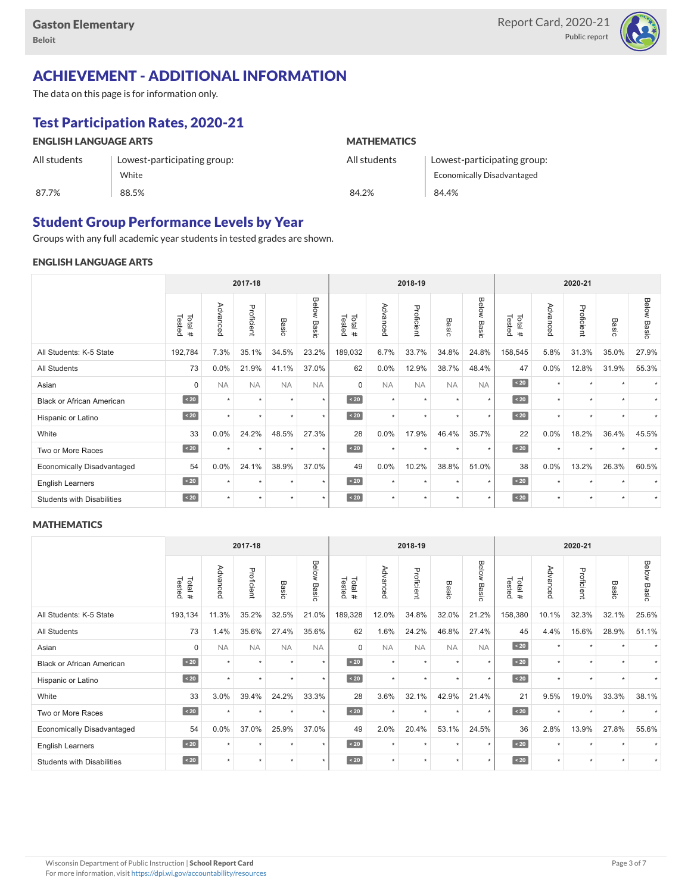

# ACHIEVEMENT - ADDITIONAL INFORMATION

The data on this page is for information only.

# Test Participation Rates, 2020-21

| <b>ENGLISH LANGUAGE ARTS</b> |                             | <b>MATHEMATICS</b> |                                   |  |  |  |  |
|------------------------------|-----------------------------|--------------------|-----------------------------------|--|--|--|--|
| All students                 | Lowest-participating group: | All students       | Lowest-participating group:       |  |  |  |  |
|                              | White                       |                    | <b>Economically Disadvantaged</b> |  |  |  |  |
| 87.7%                        | 88.5%                       | 84.2%              | 84.4%                             |  |  |  |  |

### Student Group Performance Levels by Year

Groups with any full academic year students in tested grades are shown.

#### ENGLISH LANGUAGE ARTS

|                                   |                  |           | 2017-18    |           |                    |                  |           | 2018-19    |                 |                | 2020-21          |          |            |           |                    |
|-----------------------------------|------------------|-----------|------------|-----------|--------------------|------------------|-----------|------------|-----------------|----------------|------------------|----------|------------|-----------|--------------------|
|                                   | Tested<br>Total# | Advanced  | Proficient | Basic     | <b>Below Basic</b> | Tested<br>Total# | Advanced  | Proficient | Basi<br>$\circ$ | Below<br>Basic | Tested<br>Total# | Advancec | Proficient | Basic     | <b>Below Basic</b> |
| All Students: K-5 State           | 192,784          | 7.3%      | 35.1%      | 34.5%     | 23.2%              | 189,032          | 6.7%      | 33.7%      | 34.8%           | 24.8%          | 158,545          | 5.8%     | 31.3%      | 35.0%     | 27.9%              |
| All Students                      | 73               | 0.0%      | 21.9%      | 41.1%     | 37.0%              | 62               | 0.0%      | 12.9%      | 38.7%           | 48.4%          | 47               | 0.0%     | 12.8%      | 31.9%     | 55.3%              |
| Asian                             | $\mathbf 0$      | <b>NA</b> | <b>NA</b>  | <b>NA</b> | <b>NA</b>          | $\mathbf 0$      | <b>NA</b> | <b>NA</b>  | <b>NA</b>       | <b>NA</b>      | $\angle 20$      | $\star$  | $\star$    |           |                    |
| <b>Black or African American</b>  | $\sim 20$        | $\star$   | $\star$    | $\star$   | $\star$            | $\sim 20$        | $\star$   | $\star$    | $\star$         | $\star$        | $\sim 20$        | $\star$  | $\star$    |           |                    |
| Hispanic or Latino                | $\angle 20$      | ÷         | ٠          | ٠         | $\star$            | $\angle 20$      | $\star$   | $\star$    | $\star$         | $\star$        | $\angle 20$      | $\star$  | $\star$    |           |                    |
| White                             | 33               | $0.0\%$   | 24.2%      | 48.5%     | 27.3%              | 28               | 0.0%      | 17.9%      | 46.4%           | 35.7%          | 22               | 0.0%     | 18.2%      | 36.4%     | 45.5%              |
| Two or More Races                 | $\sim 20$        | $\star$   | $\star$    | $\star$   | $\star$            | $\angle 20$      | $\star$   | $\star$    |                 | $\star$        | $\sim 20$        | $\star$  | $\star$    |           | $\star$            |
| <b>Economically Disadvantaged</b> | 54               | $0.0\%$   | 24.1%      | 38.9%     | 37.0%              | 49               | 0.0%      | 10.2%      | 38.8%           | 51.0%          | 38               | $0.0\%$  | 13.2%      | 26.3%     | 60.5%              |
| <b>English Learners</b>           | $\sim 20$        | ٠         | ٠          | ٠         | $\star$            | $\sim 20$        | $\star$   | $\star$    | $\ddot{}$       | $\star$        | $\sim 20$        | $\star$  | $\star$    |           |                    |
| <b>Students with Disabilities</b> | $\sim 20$        | $\star$   | $\star$    | $\star$   | $\star$            | $\angle 20$      | $\star$   | $\star$    | $\star$         | $\star$        | $\angle 20$      | $\star$  | $\star$    | $\ddot{}$ |                    |

#### **MATHEMATICS**

|                                   |                  |           | 2017-18    |           |                |                  |           | 2018-19    |           |                |                  |          | 2020-21    |           |                    |
|-----------------------------------|------------------|-----------|------------|-----------|----------------|------------------|-----------|------------|-----------|----------------|------------------|----------|------------|-----------|--------------------|
|                                   | Tested<br>Total# | Advanced  | Proficient | Basic     | Below<br>Basic | Tested<br>Total# | Advanced  | Proficient | Basic     | Below<br>Basic | Tested<br>Total# | Advanced | Proficient | Basic     | <b>Below Basic</b> |
| All Students: K-5 State           | 193,134          | 11.3%     | 35.2%      | 32.5%     | 21.0%          | 189,328          | 12.0%     | 34.8%      | 32.0%     | 21.2%          | 158,380          | 10.1%    | 32.3%      | 32.1%     | 25.6%              |
| All Students                      | 73               | 1.4%      | 35.6%      | 27.4%     | 35.6%          | 62               | 1.6%      | 24.2%      | 46.8%     | 27.4%          | 45               | 4.4%     | 15.6%      | 28.9%     | 51.1%              |
| Asian                             | $\mathbf 0$      | <b>NA</b> | <b>NA</b>  | <b>NA</b> | <b>NA</b>      | $\Omega$         | <b>NA</b> | <b>NA</b>  | <b>NA</b> | <b>NA</b>      | $\sim 20$        | $\star$  | ٠          |           |                    |
| <b>Black or African American</b>  | $\angle 20$      | ٠         | $\star$    | $\star$   | $\star$        | $\sim 20$        | $\star$   | $\star$    |           | $\star$        | $\sim 20$        | $\star$  | $\star$    |           |                    |
| Hispanic or Latino                | $\sim 20$        | ÷         | $\star$    | ٠         | $\star$        | $\angle 20$      | $\star$   | $\star$    | $\star$   | $\star$        | $\sim 20$        | $\star$  | $\star$    | $\ddot{}$ |                    |
| White                             | 33               | 3.0%      | 39.4%      | 24.2%     | 33.3%          | 28               | 3.6%      | 32.1%      | 42.9%     | 21.4%          | 21               | 9.5%     | 19.0%      | 33.3%     | 38.1%              |
| Two or More Races                 | $\sim 20$        | $\star$   | $\star$    | $\star$   | $\star$        | $\sim 20$        | $\star$   | $\star$    | $\star$   | $\star$        | $\sim 20$        | $\star$  | $\star$    |           | $\star$            |
| <b>Economically Disadvantaged</b> | 54               | 0.0%      | 37.0%      | 25.9%     | 37.0%          | 49               | 2.0%      | 20.4%      | 53.1%     | 24.5%          | 36               | 2.8%     | 13.9%      | 27.8%     | 55.6%              |
| <b>English Learners</b>           | $\sim 20$        | ٠         | $\star$    | ٠         | $\star$        | $\sim 20$        | $\star$   | $\star$    | $\ddot{}$ | $\star$        | $\sim 20$        | $\star$  | $\star$    |           |                    |
| <b>Students with Disabilities</b> | $\sim 20$        | $\star$   | $\star$    | ٠         | $\star$        | $\angle 20$      | $\star$   | $\star$    | $\star$   | $\star$        | $\angle 20$      | $\star$  | $\star$    | $\ddot{}$ |                    |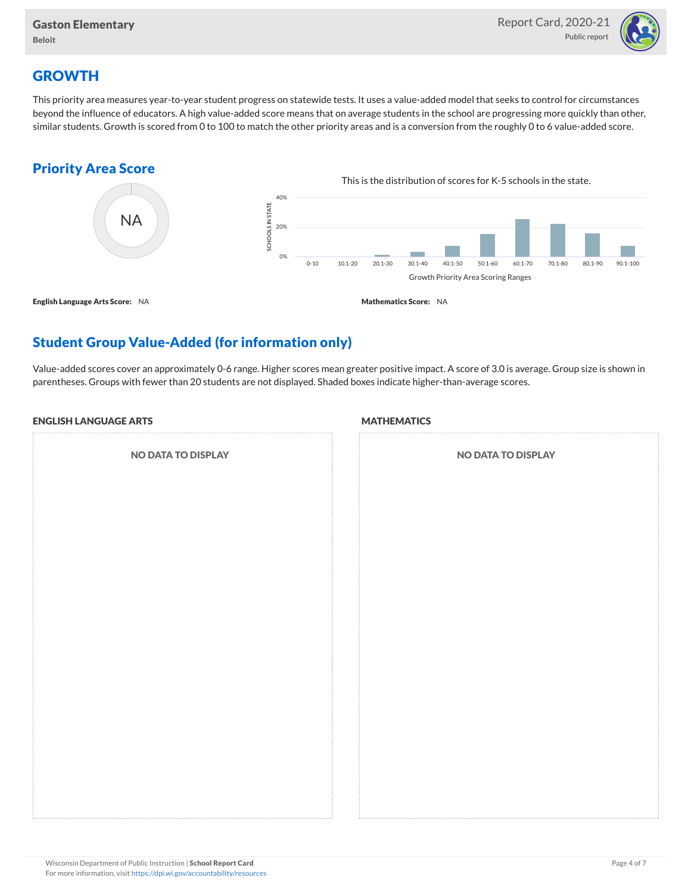

## **GROWTH**

This priority area measures year-to-year student progress on statewide tests. It uses a value-added model that seeks to control for circumstances beyond the influence of educators. A high value-added score means that on average students in the school are progressing more quickly than other, similar students. Growth is scored from 0 to 100 to match the other priority areas and is a conversion from the roughly 0 to 6 value-added score.

### Priority Area Score



# Student Group Value-Added (for information only)

Value-added scores cover an approximately 0-6 range. Higher scores mean greater positive impact. A score of 3.0 is average. Group size is shown in parentheses. Groups with fewer than 20 students are not displayed. Shaded boxes indicate higher-than-average scores.

#### ENGLISH LANGUAGE ARTS

NO DATA TO DISPLAY

#### **MATHEMATICS**

| <b>NO DATA TO DISPLAY</b> |  |  |  |  |  |  |  |  |
|---------------------------|--|--|--|--|--|--|--|--|
|                           |  |  |  |  |  |  |  |  |
|                           |  |  |  |  |  |  |  |  |
|                           |  |  |  |  |  |  |  |  |
|                           |  |  |  |  |  |  |  |  |
|                           |  |  |  |  |  |  |  |  |
|                           |  |  |  |  |  |  |  |  |
|                           |  |  |  |  |  |  |  |  |
|                           |  |  |  |  |  |  |  |  |
|                           |  |  |  |  |  |  |  |  |
|                           |  |  |  |  |  |  |  |  |
|                           |  |  |  |  |  |  |  |  |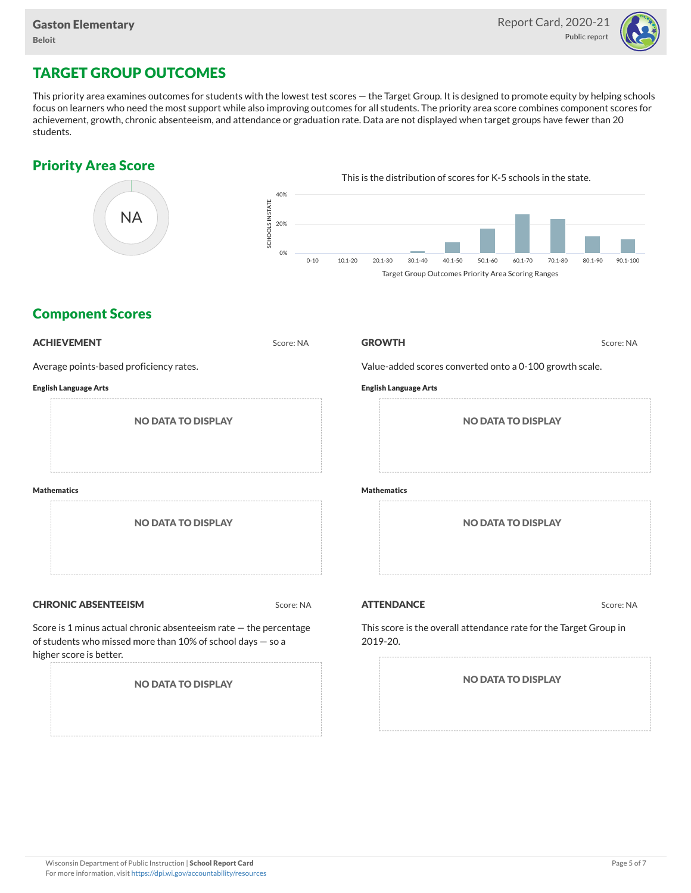

## TARGET GROUP OUTCOMES

This priority area examines outcomes for students with the lowest test scores — the Target Group. It is designed to promote equity by helping schools focus on learners who need the most support while also improving outcomes for all students. The priority area score combines component scores for achievement, growth, chronic absenteeism, and attendance or graduation rate. Data are not displayed when target groups have fewer than 20 students.

### Priority Area Score



### Component Scores

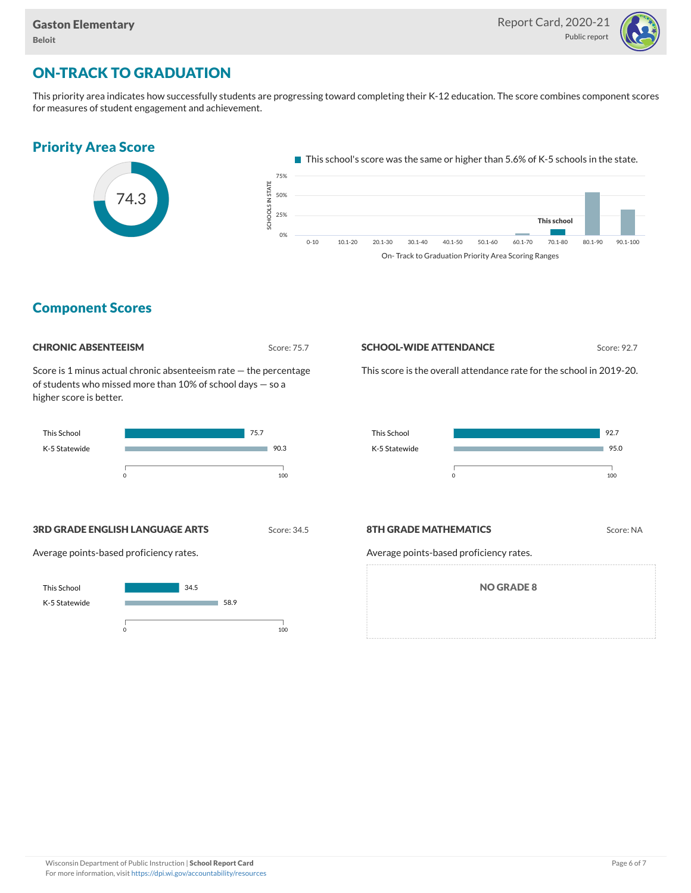

## ON-TRACK TO GRADUATION

This priority area indicates how successfully students are progressing toward completing their K-12 education. The score combines component scores for measures of student engagement and achievement.



### Component Scores



Score is 1 minus actual chronic absenteeism rate — the percentage of students who missed more than 10% of school days — so a higher score is better.



#### **SCHOOL-WIDE ATTENDANCE** Score: 92.7

This score is the overall attendance rate for the school in 2019-20.



**3RD GRADE ENGLISH LANGUAGE ARTS** Score: 34.5

Average points-based proficiency rates.



#### **8TH GRADE MATHEMATICS** Score: NA

Average points-based proficiency rates.

NO GRADE 8